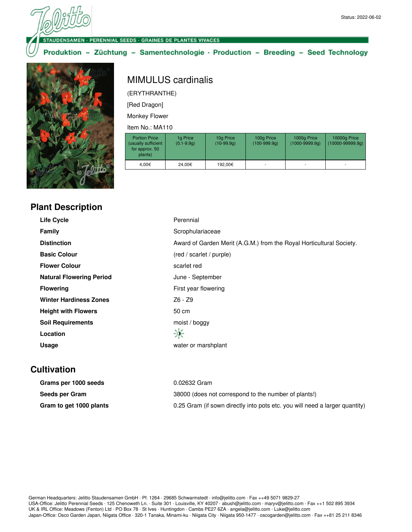## **NUDENSAMEN - PERENNIAL SEEDS - GRAINES DE PLANTES VIVACES**

## Produktion - Züchtung - Samentechnologie · Production - Breeding - Seed Technology



## MIMULUS cardinalis

(ERYTHRANTHE)

[Red Dragon]

Monkey Flower

Item No.: MA110

| <b>Portion Price</b><br>(usually sufficient<br>for approx. 50<br>plants) | 1g Price<br>$(0.1 - 9.9q)$ | 10g Price<br>$(10-99.9q)$ | 100g Price<br>$(100-999.9q)$ | 1000g Price<br>$(1000 - 9999.9q)$ | 10000g Price<br>$(10000 - 99999.9q)$ |
|--------------------------------------------------------------------------|----------------------------|---------------------------|------------------------------|-----------------------------------|--------------------------------------|
| 4.00€                                                                    | 24,00€                     | 192.00€                   | ۰                            |                                   | $\overline{\phantom{a}}$             |

| <b>Plant Description</b> |  |  |
|--------------------------|--|--|
|                          |  |  |

| <b>Life Cycle</b>               | Perennial                                                            |
|---------------------------------|----------------------------------------------------------------------|
| <b>Family</b>                   | Scrophulariaceae                                                     |
| <b>Distinction</b>              | Award of Garden Merit (A.G.M.) from the Royal Horticultural Society. |
| <b>Basic Colour</b>             | (red / scarlet / purple)                                             |
| <b>Flower Colour</b>            | scarlet red                                                          |
| <b>Natural Flowering Period</b> | June - September                                                     |
| <b>Flowering</b>                | First year flowering                                                 |
| <b>Winter Hardiness Zones</b>   | Z6 - Z9                                                              |
| <b>Height with Flowers</b>      | 50 cm                                                                |
| <b>Soil Requirements</b>        | moist / boggy                                                        |
| Location                        | 寧                                                                    |
| Usage                           | water or marshplant                                                  |

## **Cultivation**

| Grams per 1000 seeds    | 0.02632 Gram                                                                |
|-------------------------|-----------------------------------------------------------------------------|
| Seeds per Gram          | 38000 (does not correspond to the number of plants!)                        |
| Gram to get 1000 plants | 0.25 Gram (if sown directly into pots etc. you will need a larger quantity) |